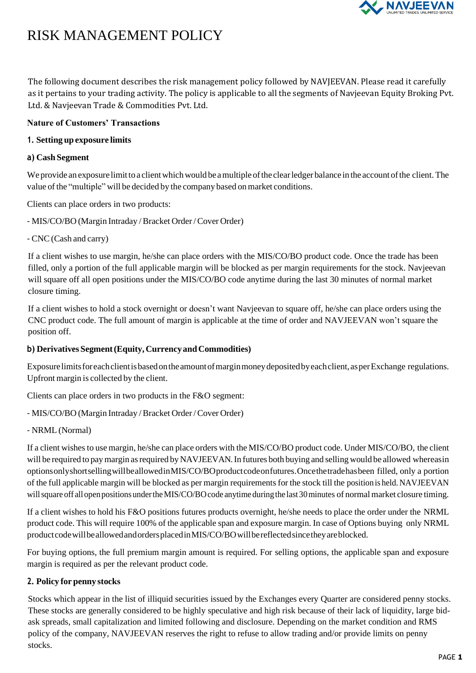

# RISK MANAGEMENT POLICY

The following document describes the risk management policy followed by NAVJEEVAN. Please read it carefully as it pertains to your trading activity. The policy is applicable to all the segments of Navjeevan Equity Broking Pvt. Ltd. & Navjeevan Trade & Commodities Pvt. Ltd.

## **Nature of Customers' Transactions**

## **1. Setting up exposure limits**

## **a) Cash Segment**

We provide an exposure limit to a client which would be a multiple of the clear ledger balance in the account of the client. The value of the "multiple" will be decided by the company based on market conditions.

Clients can place orders in two products:

- MIS/CO/BO (Margin Intraday /Bracket Order/Cover Order)

- CNC(Cash and carry)

If a client wishes to use margin, he/she can place orders with the MIS/CO/BO product code. Once the trade has been filled, only a portion of the full applicable margin will be blocked as per margin requirements for the stock. Navjeevan will square off all open positions under the MIS/CO/BO code anytime during the last 30 minutes of normal market closure timing.

If a client wishes to hold a stock overnight or doesn't want Navjeevan to square off, he/she can place orders using the CNC product code. The full amount of margin is applicable at the time of order and NAVJEEVAN won't square the position off.

# **b) Derivatives Segment(Equity, CurrencyandCommodities)**

Exposure limits for each client is based on the amount of margin money deposited by each client, as per Exchange regulations. Upfront margin is collected by the client.

Clients can place orders in two products in the F&O segment:

- MIS/CO/BO (Margin Intraday /Bracket Order/Cover Order)
- NRML (Normal)

If a client wishes to use margin, he/she can place orders with the MIS/CO/BO product code. Under MIS/CO/BO, the client will be required to pay margin as required by NAVJEEVAN. In futures both buying and selling would be allowed whereasin optionsonlyshortsellingwillbeallowedinMIS/CO/BOproductcodeonfutures.Oncethetradehasbeen filled, only a portion of the full applicable margin will be blocked as per margin requirements for the stock till the position is held. NAVJEEVAN will square off all open positions under the MIS/CO/BO code anytime during the last 30 minutes of normal market closure timing.

If a client wishes to hold his F&O positions futures products overnight, he/she needs to place the order under the NRML product code. This will require 100% of the applicable span and exposure margin. In case of Options buying only NRML productcodewillbeallowedandordersplacedinMIS/CO/BOwillbereflectedsincetheyareblocked.

For buying options, the full premium margin amount is required. For selling options, the applicable span and exposure margin is required as per the relevant product code.

# **2. Policy for penny stocks**

Stocks which appear in the list of illiquid securities issued by the Exchanges every Quarter are considered penny stocks. These stocks are generally considered to be highly speculative and high risk because of their lack of liquidity, large bidask spreads, small capitalization and limited following and disclosure. Depending on the market condition and RMS policy of the company, NAVJEEVAN reserves the right to refuse to allow trading and/or provide limits on penny stocks.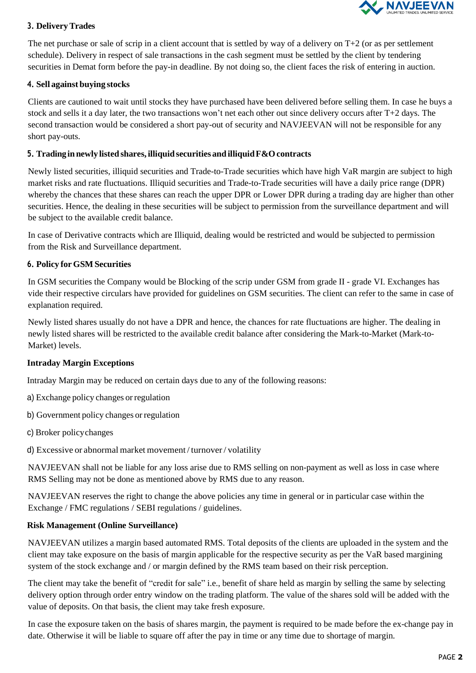

## **3. DeliveryTrades**

The net purchase or sale of scrip in a client account that is settled by way of a delivery on  $T+2$  (or as per settlement schedule). Delivery in respect of sale transactions in the cash segment must be settled by the client by tendering securities in Demat form before the pay-in deadline. By not doing so, the client faces the risk of entering in auction.

#### **4. Sell against buying stocks**

Clients are cautioned to wait until stocks they have purchased have been delivered before selling them. In case he buys a stock and sells it a day later, the two transactions won't net each other out since delivery occurs after T+2 days. The second transaction would be considered a short pay-out of security and NAVJEEVAN will not be responsible for any short pay-outs.

#### **5. Tradingin newly listed shares,illiquidsecurities and illiquidF&Ocontracts**

Newly listed securities, illiquid securities and Trade-to-Trade securities which have high VaR margin are subject to high market risks and rate fluctuations. Illiquid securities and Trade-to-Trade securities will have a daily price range (DPR) whereby the chances that these shares can reach the upper DPR or Lower DPR during a trading day are higher than other securities. Hence, the dealing in these securities will be subject to permission from the surveillance department and will be subject to the available credit balance.

In case of Derivative contracts which are Illiquid, dealing would be restricted and would be subjected to permission from the Risk and Surveillance department.

#### **6. Policy forGSMSecurities**

In GSM securities the Company would be Blocking of the scrip under GSM from grade II - grade VI. Exchanges has vide their respective circulars have provided for guidelines on GSM securities. The client can refer to the same in case of explanation required.

Newly listed shares usually do not have a DPR and hence, the chances for rate fluctuations are higher. The dealing in newly listed shares will be restricted to the available credit balance after considering the Mark-to-Market (Mark-to-Market) levels.

#### **Intraday Margin Exceptions**

Intraday Margin may be reduced on certain days due to any of the following reasons:

- a) Exchange policy changes orregulation
- b) Government policy changes or regulation
- c) Broker policychanges

d) Excessive or abnormal market movement / turnover/ volatility

NAVJEEVAN shall not be liable for any loss arise due to RMS selling on non-payment as well as loss in case where RMS Selling may not be done as mentioned above by RMS due to any reason.

NAVJEEVAN reserves the right to change the above policies any time in general or in particular case within the Exchange / FMC regulations / SEBI regulations / guidelines.

#### **Risk Management (Online Surveillance)**

NAVJEEVAN utilizes a margin based automated RMS. Total deposits of the clients are uploaded in the system and the client may take exposure on the basis of margin applicable for the respective security as per the VaR based margining system of the stock exchange and / or margin defined by the RMS team based on their risk perception.

The client may take the benefit of "credit for sale" i.e., benefit of share held as margin by selling the same by selecting delivery option through order entry window on the trading platform. The value of the shares sold will be added with the value of deposits. On that basis, the client may take fresh exposure.

In case the exposure taken on the basis of shares margin, the payment is required to be made before the ex-change pay in date. Otherwise it will be liable to square off after the pay in time or any time due to shortage of margin.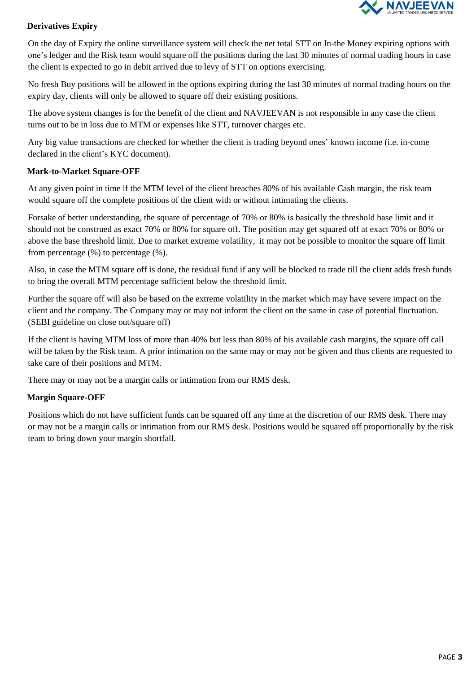

## **Derivatives Expiry**

On the day of Expiry the online surveillance system will check the net total STT on In-the Money expiring options with one's ledger and the Risk team would square off the positions during the last 30 minutes of normal trading hours in case the client is expected to go in debit arrived due to levy of STT on options exercising.

No fresh Buy positions will be allowed in the options expiring during the last 30 minutes of normal trading hours on the expiry day, clients will only be allowed to square off their existing positions.

The above system changes is for the benefit of the client and NAVJEEVAN is not responsible in any case the client turns out to be in loss due to MTM or expenses like STT, turnover charges etc.

Any big value transactions are checked for whether the client is trading beyond ones' known income (i.e. in-come declared in the client's KYC document).

#### **Mark-to-Market Square-OFF**

At any given point in time if the MTM level of the client breaches 80% of his available Cash margin, the risk team would square off the complete positions of the client with or without intimating the clients.

Forsake of better understanding, the square of percentage of 70% or 80% is basically the threshold base limit and it should not be construed as exact 70% or 80% for square off. The position may get squared off at exact 70% or 80% or above the base threshold limit. Due to market extreme volatility, it may not be possible to monitor the square off limit from percentage (%) to percentage (%).

Also, in case the MTM square off is done, the residual fund if any will be blocked to trade till the client adds fresh funds to bring the overall MTM percentage sufficient below the threshold limit.

Further the square off will also be based on the extreme volatility in the market which may have severe impact on the client and the company. The Company may or may not inform the client on the same in case of potential fluctuation. (SEBI guideline on close out/square off)

If the client is having MTM loss of more than 40% but less than 80% of his available cash margins, the square off call will be taken by the Risk team. A prior intimation on the same may or may not be given and thus clients are requested to take care of their positions and MTM.

There may or may not be a margin calls or intimation from our RMS desk.

## **Margin Square-OFF**

Positions which do not have sufficient funds can be squared off any time at the discretion of our RMS desk. There may or may not be a margin calls or intimation from our RMS desk. Positions would be squared off proportionally by the risk team to bring down your margin shortfall.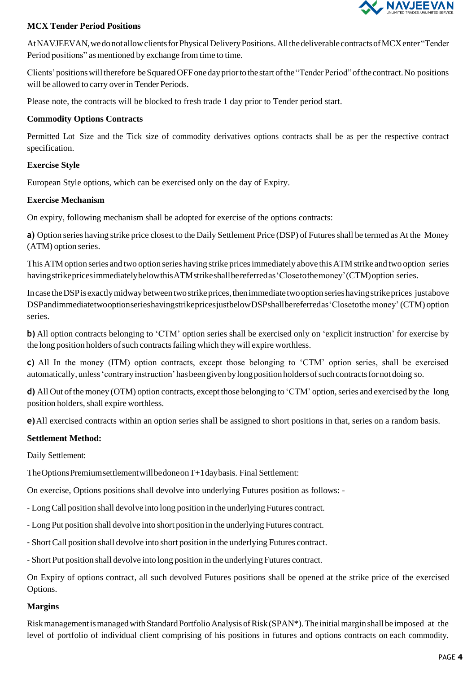

#### **MCX Tender Period Positions**

AtNAVJEEVAN,wedonotallowclientsforPhysicalDeliveryPositions.AllthedeliverablecontractsofMCXenter"Tender Period positions" as mentioned by exchange from time to time.

Clients' positions will therefore be Squared OFF one day prior to the start of the "Tender Period" of the contract. No positions will be allowed to carry over in Tender Periods.

Please note, the contracts will be blocked to fresh trade 1 day prior to Tender period start.

#### **Commodity Options Contracts**

Permitted Lot Size and the Tick size of commodity derivatives options contracts shall be as per the respective contract specification.

#### **Exercise Style**

European Style options, which can be exercised only on the day of Expiry.

#### **Exercise Mechanism**

On expiry, following mechanism shall be adopted for exercise of the options contracts:

**a)** Option series having strike price closest to the Daily Settlement Price (DSP) of Futures shall be termed as At the Money (ATM) option series.

This ATM option series and two option series having strike prices immediately above this ATM strike and two option series havingstrikepricesimmediatelybelowthisATMstrikeshallbereferredas'Closetothemoney'(CTM)option series.

Incase theDSPisexactlymidwaybetweentwostrikeprices,thenimmediate twooptionserieshavingstrikeprices justabove DSPandimmediatetwooptionserieshavingstrikepricesjustbelowDSPshallbereferredas'Closetothe money'(CTM) option series.

**b**) All option contracts belonging to 'CTM' option series shall be exercised only on 'explicit instruction' for exercise by the long position holders of such contracts failing which they will expire worthless.

**c)** All In the money (ITM) option contracts, except those belonging to 'CTM' option series, shall be exercised automatically, unless 'contrary instruction' has been given by long position holders of such contracts for not doing so.

**d**) All Out of the money (OTM) option contracts, except those belonging to 'CTM' option, series and exercised by the long position holders, shall expire worthless.

**e)**All exercised contracts within an option series shall be assigned to short positions in that, series on a random basis.

## **Settlement Method:**

Daily Settlement:

TheOptionsPremiumsettlementwillbedoneonT+1daybasis. Final Settlement:

On exercise, Options positions shall devolve into underlying Futures position as follows: -

- LongCall position shall devolve into long position in the underlying Futures contract.

- Long Put position shall devolve into short position in the underlying Futures contract.

- ShortCall position shall devolve into short position in the underlying Futures contract.

- Short Put position shall devolve into long position in the underlying Futures contract.

On Expiry of options contract, all such devolved Futures positions shall be opened at the strike price of the exercised Options.

## **Margins**

Risk management is managed with Standard Portfolio Analysis of Risk (SPAN\*). The initial margin shall be imposed at the level of portfolio of individual client comprising of his positions in futures and options contracts on each commodity.